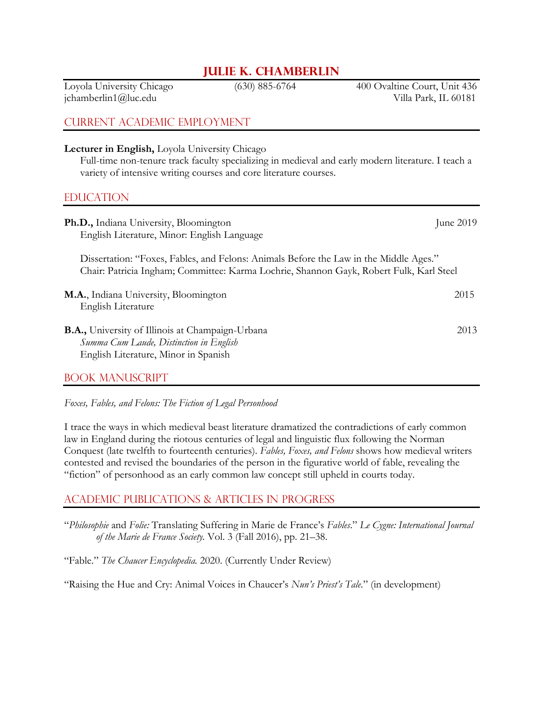# **Julie K. Chamberlin**

Loyola University Chicago (630) 885-6764 400 Ovaltine Court, Unit 436 jchamberlin1@luc.edu Villa Park, IL 60181

## Current Academic Employment

**Lecturer in English,** Loyola University Chicago

Full-time non-tenure track faculty specializing in medieval and early modern literature. I teach a variety of intensive writing courses and core literature courses.

### EDUCATION

| Ph.D., Indiana University, Bloomington<br>English Literature, Minor: English Language                                                                                            | June $2019$ |
|----------------------------------------------------------------------------------------------------------------------------------------------------------------------------------|-------------|
| Dissertation: "Foxes, Fables, and Felons: Animals Before the Law in the Middle Ages."<br>Chair: Patricia Ingham; Committee: Karma Lochrie, Shannon Gayk, Robert Fulk, Karl Steel |             |
| M.A., Indiana University, Bloomington<br>English Literature                                                                                                                      | 2015        |
| <b>B.A.</b> , University of Illinois at Champaign-Urbana<br>Summa Cum Laude, Distinction in English<br>English Literature, Minor in Spanish                                      | 2013        |

#### Book Manuscript

*Foxes, Fables, and Felons: The Fiction of Legal Personhood*

I trace the ways in which medieval beast literature dramatized the contradictions of early common law in England during the riotous centuries of legal and linguistic flux following the Norman Conquest (late twelfth to fourteenth centuries). *Fables, Foxes, and Felons* shows how medieval writers contested and revised the boundaries of the person in the figurative world of fable, revealing the "fiction" of personhood as an early common law concept still upheld in courts today.

## Academic Publications & Articles in Progress

"*Philosophie* and *Folie:* Translating Suffering in Marie de France's *Fables*." *Le Cygne: International Journal of the Marie de France Society.* Vol. 3 (Fall 2016), pp. 21–38.

"Fable." *The Chaucer Encyclopedia.* 2020. (Currently Under Review)

"Raising the Hue and Cry: Animal Voices in Chaucer's *Nun's Priest's Tale.*" (in development)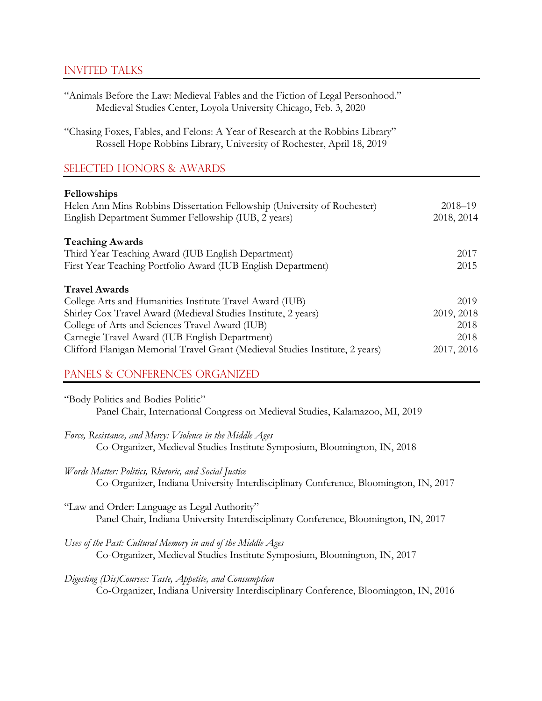## Invited Talks

| "Animals Before the Law: Medieval Fables and the Fiction of Legal Personhood."<br>Medieval Studies Center, Loyola University Chicago, Feb. 3, 2020      |             |
|---------------------------------------------------------------------------------------------------------------------------------------------------------|-------------|
| "Chasing Foxes, Fables, and Felons: A Year of Research at the Robbins Library"<br>Rossell Hope Robbins Library, University of Rochester, April 18, 2019 |             |
| <b>SELECTED HONORS &amp; AWARDS</b>                                                                                                                     |             |
| Fellowships                                                                                                                                             |             |
| Helen Ann Mins Robbins Dissertation Fellowship (University of Rochester)                                                                                | $2018 - 19$ |
| English Department Summer Fellowship (IUB, 2 years)                                                                                                     | 2018, 2014  |
| <b>Teaching Awards</b>                                                                                                                                  |             |
| Third Year Teaching Award (IUB English Department)                                                                                                      | 2017        |
| First Year Teaching Portfolio Award (IUB English Department)                                                                                            | 2015        |
| <b>Travel Awards</b>                                                                                                                                    |             |
| College Arts and Humanities Institute Travel Award (IUB)                                                                                                | 2019        |
| Shirley Cox Travel Award (Medieval Studies Institute, 2 years)                                                                                          | 2019, 2018  |
| College of Arts and Sciences Travel Award (IUB)                                                                                                         | 2018        |
| Carnegie Travel Award (IUB English Department)                                                                                                          | 2018        |
| Clifford Flanigan Memorial Travel Grant (Medieval Studies Institute, 2 years)                                                                           | 2017, 2016  |

# Panels & Conferences Organized

| "Body Politics and Bodies Politic"                                           |  |
|------------------------------------------------------------------------------|--|
| Panel Chair, International Congress on Medieval Studies, Kalamazoo, MI, 2019 |  |

*Force, Resistance, and Mercy: Violence in the Middle Ages* Co-Organizer, Medieval Studies Institute Symposium, Bloomington, IN, 2018

*Words Matter: Politics, Rhetoric, and Social Justice* Co-Organizer, Indiana University Interdisciplinary Conference, Bloomington, IN, 2017

"Law and Order: Language as Legal Authority" Panel Chair, Indiana University Interdisciplinary Conference, Bloomington, IN, 2017

*Uses of the Past: Cultural Memory in and of the Middle Ages* Co-Organizer, Medieval Studies Institute Symposium, Bloomington, IN, 2017

*Digesting (Dis)Courses: Taste, Appetite, and Consumption* Co-Organizer, Indiana University Interdisciplinary Conference, Bloomington, IN, 2016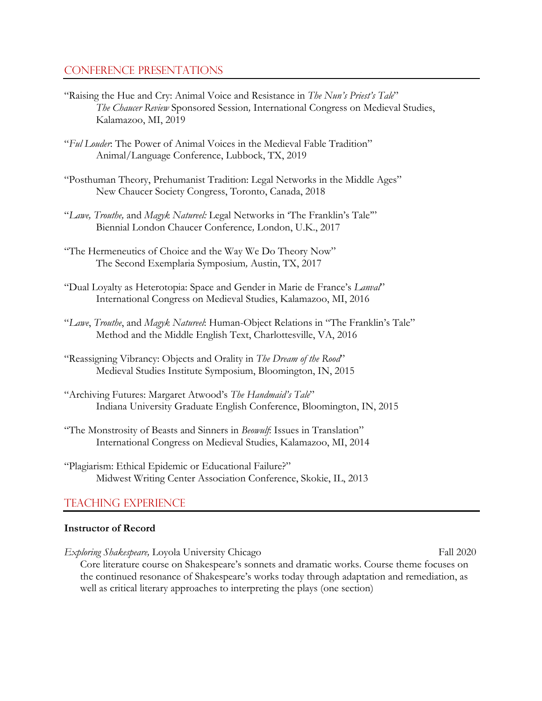## Conference presentations

- "Raising the Hue and Cry: Animal Voice and Resistance in *The Nun's Priest's Tale*" *The Chaucer Review* Sponsored Session*,* International Congress on Medieval Studies, Kalamazoo, MI, 2019
- "*Ful Louder*: The Power of Animal Voices in the Medieval Fable Tradition" Animal/Language Conference, Lubbock, TX, 2019
- "Posthuman Theory, Prehumanist Tradition: Legal Networks in the Middle Ages" New Chaucer Society Congress, Toronto, Canada, 2018
- "*Lawe, Trouthe,* and *Magyk Natureel:* Legal Networks in 'The Franklin's Tale'" Biennial London Chaucer Conference*,* London, U.K., 2017
- "The Hermeneutics of Choice and the Way We Do Theory Now" The Second Exemplaria Symposium*,* Austin, TX, 2017
- "Dual Loyalty as Heterotopia: Space and Gender in Marie de France's *Lanval*" International Congress on Medieval Studies, Kalamazoo, MI, 2016
- "*Lawe*, *Trouthe*, and *Magyk Natureel*: Human-Object Relations in "The Franklin's Tale" Method and the Middle English Text, Charlottesville, VA, 2016
- "Reassigning Vibrancy: Objects and Orality in *The Dream of the Rood*" Medieval Studies Institute Symposium, Bloomington, IN, 2015
- "Archiving Futures: Margaret Atwood's *The Handmaid's Tale*" Indiana University Graduate English Conference, Bloomington, IN, 2015
- "The Monstrosity of Beasts and Sinners in *Beowulf*: Issues in Translation" International Congress on Medieval Studies, Kalamazoo, MI, 2014
- "Plagiarism: Ethical Epidemic or Educational Failure?" Midwest Writing Center Association Conference, Skokie, IL, 2013

# Teaching Experience

#### **Instructor of Record**

*Exploring Shakespeare, Loyola University Chicago* Fall 2020 Core literature course on Shakespeare's sonnets and dramatic works. Course theme focuses on the continued resonance of Shakespeare's works today through adaptation and remediation, as well as critical literary approaches to interpreting the plays (one section)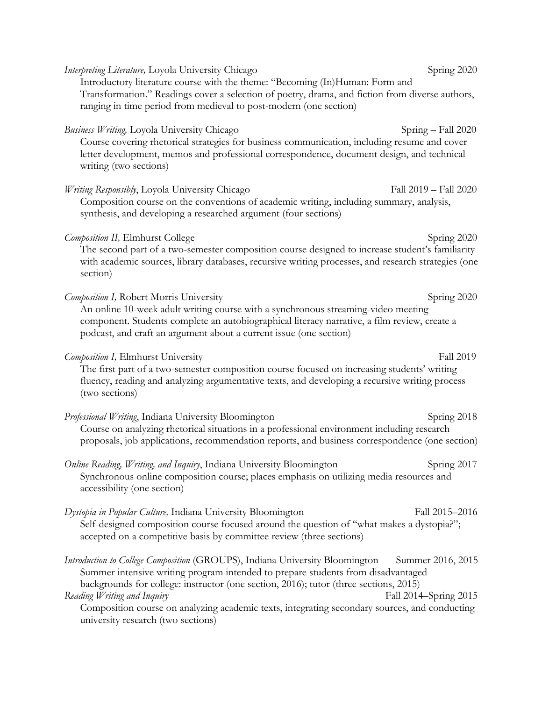*Interpreting Literature, Loyola University Chicago* Spring 2020 Introductory literature course with the theme: "Becoming (In)Human: Form and Transformation." Readings cover a selection of poetry, drama, and fiction from diverse authors, ranging in time period from medieval to post-modern (one section) *Business Writing, Loyola University Chicago* Spring – Fall 2020 Course covering rhetorical strategies for business communication, including resume and cover letter development, memos and professional correspondence, document design, and technical writing (two sections) *Writing Responsibly*, Loyola University Chicago Fall 2019 – Fall 2020 Composition course on the conventions of academic writing, including summary, analysis, synthesis, and developing a researched argument (four sections) *Composition II, Elmhurst College* **Spring 2020** Spring 2020 The second part of a two-semester composition course designed to increase student's familiarity with academic sources, library databases, recursive writing processes, and research strategies (one section) *Composition I, Robert Morris University* Spring 2020 An online 10-week adult writing course with a synchronous streaming-video meeting component. Students complete an autobiographical literacy narrative, a film review, create a podcast, and craft an argument about a current issue (one section) *Composition I, Elmhurst University* **Fall 2019** Fall 2019 The first part of a two-semester composition course focused on increasing students' writing fluency, reading and analyzing argumentative texts, and developing a recursive writing process (two sections) *Professional Writing*, Indiana University Bloomington Spring 2018 Course on analyzing rhetorical situations in a professional environment including research proposals, job applications, recommendation reports, and business correspondence (one section) *Online Reading, Writing, and Inquiry*, Indiana University Bloomington **Spring 2017** Synchronous online composition course; places emphasis on utilizing media resources and accessibility (one section) *Dystopia in Popular Culture,* Indiana University Bloomington Fall 2015–2016 Self-designed composition course focused around the question of "what makes a dystopia?"; accepted on a competitive basis by committee review (three sections) *Introduction to College Composition* (GROUPS), Indiana University BloomingtonSummer 2016, 2015 Summer intensive writing program intended to prepare students from disadvantaged backgrounds for college: instructor (one section, 2016); tutor (three sections, 2015) *Reading Writing and Inquiry* Fall 2014–Spring 2015 Composition course on analyzing academic texts, integrating secondary sources, and conducting university research (two sections)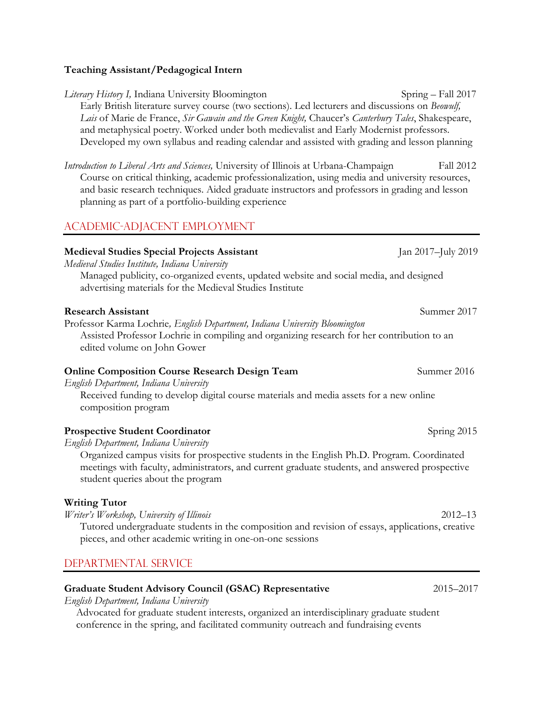#### **Teaching Assistant/Pedagogical Intern**

*Literary History I, Indiana University Bloomington* **Spring – Fall 2017** Early British literature survey course (two sections). Led lecturers and discussions on *Beowulf, Lais* of Marie de France, *Sir Gawain and the Green Knight,* Chaucer's *Canterbury Tales*, Shakespeare, and metaphysical poetry. Worked under both medievalist and Early Modernist professors. Developed my own syllabus and reading calendar and assisted with grading and lesson planning

*Introduction to Liberal Arts and Sciences,* University of Illinois at Urbana-Champaign Fall 2012 Course on critical thinking, academic professionalization, using media and university resources, and basic research techniques. Aided graduate instructors and professors in grading and lesson planning as part of a portfolio-building experience

# Academic-Adjacent Employment

#### **Medieval Studies Special Projects Assistant** Jan 2017–July 2019

*Medieval Studies Institute, Indiana University* 

Managed publicity, co-organized events, updated website and social media, and designed advertising materials for the Medieval Studies Institute

#### **Research Assistant Summer 2017**

Professor Karma Lochrie*, English Department, Indiana University Bloomington* Assisted Professor Lochrie in compiling and organizing research for her contribution to an edited volume on John Gower

#### **Online Composition Course Research Design Team** Summer 2016

*English Department, Indiana University* 

Received funding to develop digital course materials and media assets for a new online composition program

#### **Prospective Student Coordinator**  $\frac{1}{2}$  Spring 2015

*English Department, Indiana University*

Organized campus visits for prospective students in the English Ph.D. Program. Coordinated meetings with faculty, administrators, and current graduate students, and answered prospective student queries about the program

#### **Writing Tutor**

*Writer's Workshop, University of Illinois* 2012–13

Tutored undergraduate students in the composition and revision of essays, applications, creative pieces, and other academic writing in one-on-one sessions

## Departmental Service

#### **Graduate Student Advisory Council (GSAC) Representative** 2015–2017

*English Department, Indiana University*

Advocated for graduate student interests, organized an interdisciplinary graduate student conference in the spring, and facilitated community outreach and fundraising events